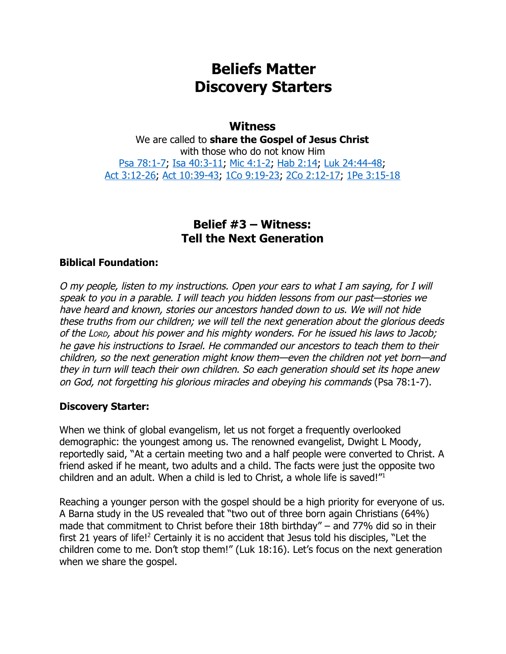# **Beliefs Matter Discovery Starters**

#### **Witness**

We are called to **share the Gospel of Jesus Christ** with those who do not know Him [Psa 78:1-7;](https://sourceviewreader.web.app/reader/#ENG-NLT-S170-Psa-78-1) [Isa 40:3-11](https://sourceviewreader.web.app/reader/#ENG-NLT-S199-Isa-40-3); [Mic 4:1-2;](https://sourceviewreader.web.app/reader/#ENG-NLT-S256-Mic-4-1) [Hab 2:14](https://sourceviewreader.web.app/reader/#ENG-NLT-S259-Hab-2-14); [Luk 24:44-48;](https://sourceviewreader.web.app/reader/#ENG-NLT-S297-Luk-24-44) [Act 3:12-26](https://sourceviewreader.web.app/reader/#ENG-NLT-S309-Act-3-12); [Act 10:39-43;](https://sourceviewreader.web.app/reader/#ENG-NLT-S312-Act-10-39) [1Co 9:19-23](https://sourceviewreader.web.app/reader/#ENG-NLT-S328-1Co-9-19); [2Co 2:12-17;](https://sourceviewreader.web.app/reader/#ENG-NLT-S331-2Co-2-12) [1Pe 3:15-18](https://sourceviewreader.web.app/reader/#ENG-NLT-S331-1Pe-3-15)

## **Belief #3 – Witness: Tell the Next Generation**

#### **Biblical Foundation:**

O my people, listen to my instructions. Open your ears to what I am saying, for I will speak to you in a parable. I will teach you hidden lessons from our past—stories we have heard and known, stories our ancestors handed down to us. We will not hide these truths from our children; we will tell the next generation about the glorious deeds of the LORD, about his power and his mighty wonders. For he issued his laws to Jacob; he gave his instructions to Israel. He commanded our ancestors to teach them to their children, so the next generation might know them—even the children not yet born—and they in turn will teach their own children. So each generation should set its hope anew on God, not forgetting his glorious miracles and obeying his commands (Psa 78:1-7).

#### **Discovery Starter:**

When we think of global evangelism, let us not forget a frequently overlooked demographic: the youngest among us. The renowned evangelist, Dwight L Moody, reportedly said, "At a certain meeting two and a half people were converted to Christ. A friend asked if he meant, two adults and a child. The facts were just the opposite two children and an adult. When a child is led to Christ, a whole life is saved!"<sup>1</sup>

Reaching a younger person with the gospel should be a high priority for everyone of us. A Barna study in the US revealed that "two out of three born again Christians (64%) made that commitment to Christ before their 18th birthday" – and 77% did so in their first 21 years of life!<sup>2</sup> Certainly it is no accident that Jesus told his disciples, "Let the children come to me. Don't stop them!" (Luk 18:16). Let's focus on the next generation when we share the gospel.